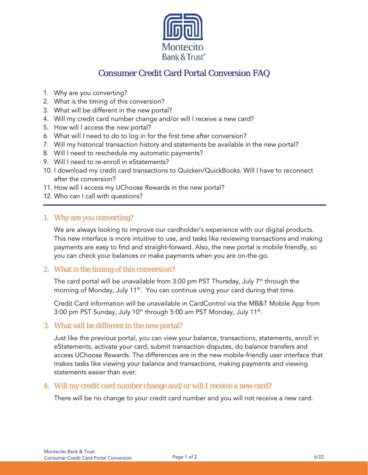

# Consumer Credit Card Portal Conversion FAQ

- 1. Why are you converting?
- 2. What is the timing of this conversion?
- 3. What will be different in the new portal?
- 4. Will my credit card number change and/or will I receive a new card?
- 5. How will I access the new portal?
- 6. What will I need to do to log in for the first time after conversion?
- 7. Will my historical transaction history and statements be available in the new portal?
- 8. Will I need to reschedule my automatic payments?
- 9. Will I need to re-enroll in eStatements?
- 10. I download my credit card transactions to Quicken/QuickBooks. Will I have to reconnect after the conversion?
- 11. How will I access my UChoose Rewards in the new portal?
- 12. Who can I call with questions?

## 1. Why are you converting?

j

We are always looking to improve our cardholder's experience with our digital products. This new interface is more intuitive to use, and tasks like reviewing transactions and making payments are easy to find and straight-forward. Also, the new portal is mobile friendly, so you can check your balances or make payments when you are on-the-go.

## 2. What is the timing of this conversion?

The card portal will be unavailable from 3:00 pm PST Thursday, July  $7<sup>th</sup>$  through the morning of Monday, July  $11<sup>th</sup>$ . You can continue using your card during that time.

Credit Card information will be unavailable in CardControl via the MB&T Mobile App from 3:00 pm PST Sunday, July 10<sup>th</sup> through 5:00 am PST Monday, July 11<sup>th</sup>.

## 3. What will be different in the new portal?

Just like the previous portal, you can view your balance, transactions, statements, enroll in eStatements, activate your card, submit transaction disputes, do balance transfers and access UChoose Rewards. The differences are in the new mobile-friendly user interface that makes tasks like viewing your balance and transactions, making payments and viewing statements easier than ever.

## 4. Will my credit card number change and/or will I receive a new card?

There will be no change to your credit card number and you will not receive a new card.